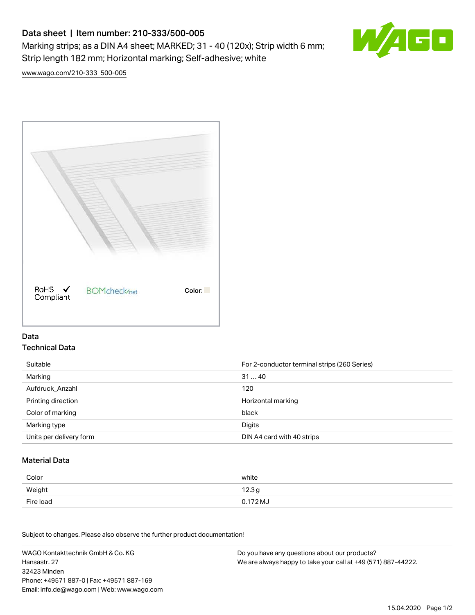# Data sheet | Item number: 210-333/500-005 Marking strips; as a DIN A4 sheet; MARKED; 31 - 40 (120x); Strip width 6 mm; Strip length 182 mm; Horizontal marking; Self-adhesive; white



[www.wago.com/210-333\\_500-005](http://www.wago.com/210-333_500-005)



### Data Technical Data

| Suitable                | For 2-conductor terminal strips (260 Series) |
|-------------------------|----------------------------------------------|
| Marking                 | 3140                                         |
| Aufdruck Anzahl         | 120                                          |
| Printing direction      | Horizontal marking                           |
| Color of marking        | black                                        |
| Marking type            | Digits                                       |
| Units per delivery form | DIN A4 card with 40 strips                   |

#### Material Data

| Color     | white             |
|-----------|-------------------|
| Weight    | 12.3 <sub>g</sub> |
| Fire load | 0.172 MJ          |

Subject to changes. Please also observe the further product documentation!

WAGO Kontakttechnik GmbH & Co. KG Hansastr. 27 32423 Minden Phone: +49571 887-0 | Fax: +49571 887-169 Email: info.de@wago.com | Web: www.wago.com Do you have any questions about our products? We are always happy to take your call at +49 (571) 887-44222.